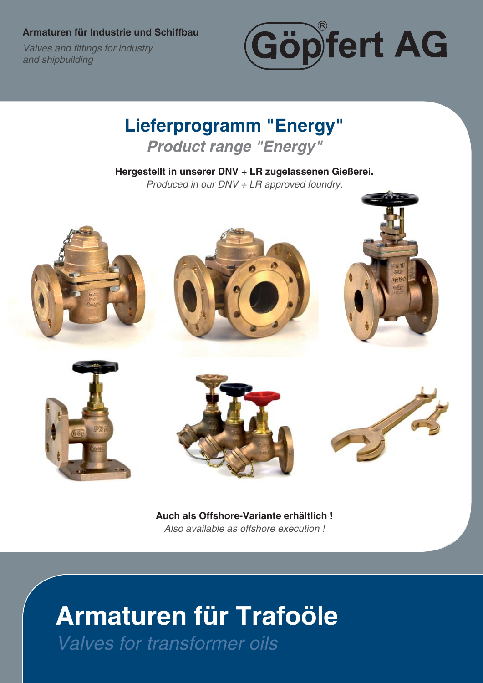**Armaturen für Industrie und Schiffbau**

**Valves and fittings for industry** *and shipbuilding*



**Lieferprogramm "Energy"** *Product range "Energy"*

**Hergestellt in unserer DNV + LR zugelassenen Gießerei.** *Produced in our DNV + LR approved foundry.*



**Auch als Offshore-Variante erhältlich !** *Also available as offshore execution !*

# **Armaturen für Trafoöle** *Valves for transformer oils*